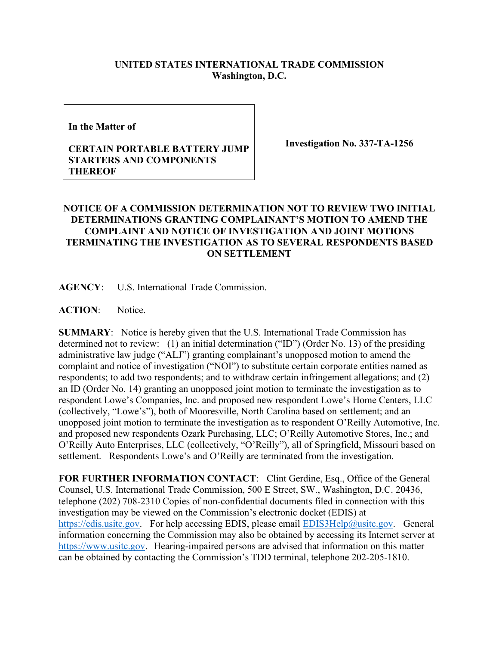## **UNITED STATES INTERNATIONAL TRADE COMMISSION Washington, D.C.**

**In the Matter of** 

## **CERTAIN PORTABLE BATTERY JUMP STARTERS AND COMPONENTS THEREOF**

**Investigation No. 337-TA-1256**

## **NOTICE OF A COMMISSION DETERMINATION NOT TO REVIEW TWO INITIAL DETERMINATIONS GRANTING COMPLAINANT'S MOTION TO AMEND THE COMPLAINT AND NOTICE OF INVESTIGATION AND JOINT MOTIONS TERMINATING THE INVESTIGATION AS TO SEVERAL RESPONDENTS BASED ON SETTLEMENT**

**AGENCY**: U.S. International Trade Commission.

**ACTION**: Notice.

**SUMMARY**: Notice is hereby given that the U.S. International Trade Commission has determined not to review: (1) an initial determination ("ID") (Order No. 13) of the presiding administrative law judge ("ALJ") granting complainant's unopposed motion to amend the complaint and notice of investigation ("NOI") to substitute certain corporate entities named as respondents; to add two respondents; and to withdraw certain infringement allegations; and (2) an ID (Order No. 14) granting an unopposed joint motion to terminate the investigation as to respondent Lowe's Companies, Inc. and proposed new respondent Lowe's Home Centers, LLC (collectively, "Lowe's"), both of Mooresville, North Carolina based on settlement; and an unopposed joint motion to terminate the investigation as to respondent O'Reilly Automotive, Inc. and proposed new respondents Ozark Purchasing, LLC; O'Reilly Automotive Stores, Inc.; and O'Reilly Auto Enterprises, LLC (collectively, "O'Reilly"), all of Springfield, Missouri based on settlement. Respondents Lowe's and O'Reilly are terminated from the investigation.

**FOR FURTHER INFORMATION CONTACT**: Clint Gerdine, Esq., Office of the General Counsel, U.S. International Trade Commission, 500 E Street, SW., Washington, D.C. 20436, telephone (202) 708-2310 Copies of non-confidential documents filed in connection with this investigation may be viewed on the Commission's electronic docket (EDIS) at [https://edis.usitc.gov.](https://edis.usitc.gov/) For help accessing EDIS, please email [EDIS3Help@usitc.gov.](mailto:EDIS3Help@usitc.gov) General information concerning the Commission may also be obtained by accessing its Internet server at [https://www.usitc.gov.](https://www.usitc.gov/) Hearing-impaired persons are advised that information on this matter can be obtained by contacting the Commission's TDD terminal, telephone 202-205-1810.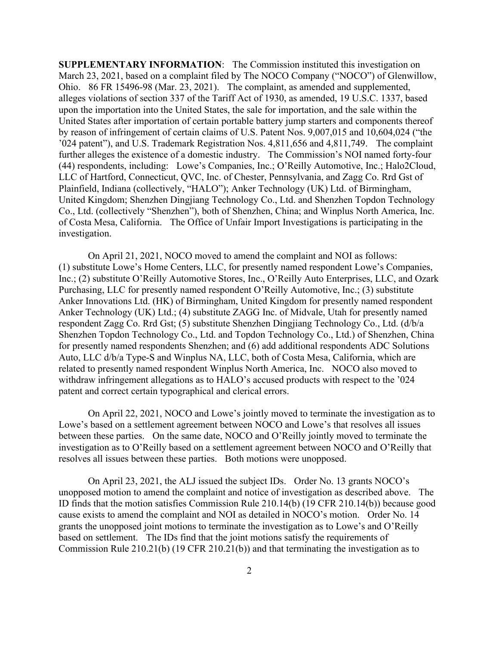**SUPPLEMENTARY INFORMATION**: The Commission instituted this investigation on March 23, 2021, based on a complaint filed by The NOCO Company ("NOCO") of Glenwillow, Ohio. 86 FR 15496-98 (Mar. 23, 2021). The complaint, as amended and supplemented, alleges violations of section 337 of the Tariff Act of 1930, as amended, 19 U.S.C. 1337, based upon the importation into the United States, the sale for importation, and the sale within the United States after importation of certain portable battery jump starters and components thereof by reason of infringement of certain claims of U.S. Patent Nos. 9,007,015 and 10,604,024 ("the '024 patent"), and U.S. Trademark Registration Nos. 4,811,656 and 4,811,749.The complaint further alleges the existence of a domestic industry. The Commission's NOI named forty-four (44) respondents, including: Lowe's Companies, Inc.; O'Reilly Automotive, Inc.; Halo2Cloud, LLC of Hartford, Connecticut, QVC, Inc. of Chester, Pennsylvania, and Zagg Co. Rrd Gst of Plainfield, Indiana (collectively, "HALO"); Anker Technology (UK) Ltd. of Birmingham, United Kingdom; Shenzhen Dingjiang Technology Co., Ltd. and Shenzhen Topdon Technology Co., Ltd. (collectively "Shenzhen"), both of Shenzhen, China; and Winplus North America, Inc. of Costa Mesa, California. The Office of Unfair Import Investigations is participating in the investigation.

On April 21, 2021, NOCO moved to amend the complaint and NOI as follows: (1) substitute Lowe's Home Centers, LLC, for presently named respondent Lowe's Companies, Inc.; (2) substitute O'Reilly Automotive Stores, Inc., O'Reilly Auto Enterprises, LLC, and Ozark Purchasing, LLC for presently named respondent O'Reilly Automotive, Inc.; (3) substitute Anker Innovations Ltd. (HK) of Birmingham, United Kingdom for presently named respondent Anker Technology (UK) Ltd.; (4) substitute ZAGG Inc. of Midvale, Utah for presently named respondent Zagg Co. Rrd Gst; (5) substitute Shenzhen Dingjiang Technology Co., Ltd. (d/b/a Shenzhen Topdon Technology Co., Ltd. and Topdon Technology Co., Ltd.) of Shenzhen, China for presently named respondents Shenzhen; and (6) add additional respondents ADC Solutions Auto, LLC d/b/a Type-S and Winplus NA, LLC, both of Costa Mesa, California, which are related to presently named respondent Winplus North America, Inc. NOCO also moved to withdraw infringement allegations as to HALO's accused products with respect to the '024 patent and correct certain typographical and clerical errors.

On April 22, 2021, NOCO and Lowe's jointly moved to terminate the investigation as to Lowe's based on a settlement agreement between NOCO and Lowe's that resolves all issues between these parties. On the same date, NOCO and O'Reilly jointly moved to terminate the investigation as to O'Reilly based on a settlement agreement between NOCO and O'Reilly that resolves all issues between these parties. Both motions were unopposed.

On April 23, 2021, the ALJ issued the subject IDs. Order No. 13 grants NOCO's unopposed motion to amend the complaint and notice of investigation as described above. The ID finds that the motion satisfies Commission Rule 210.14(b) (19 CFR 210.14(b)) because good cause exists to amend the complaint and NOI as detailed in NOCO's motion. Order No. 14 grants the unopposed joint motions to terminate the investigation as to Lowe's and O'Reilly based on settlement. The IDs find that the joint motions satisfy the requirements of Commission Rule 210.21(b) (19 CFR 210.21(b)) and that terminating the investigation as to